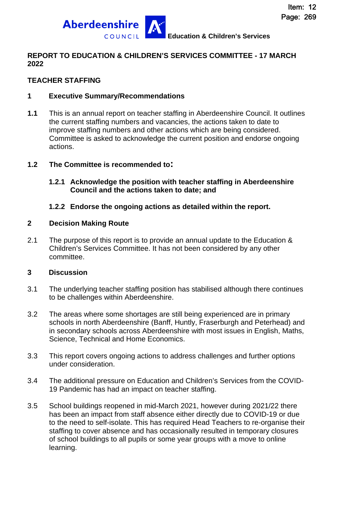

## **REPORT TO EDUCATION & CHILDREN'S SERVICES COMMITTEE - 17 MARCH 2022**

## **TEACHER STAFFING**

#### **1 Executive Summary/Recommendations**

**1.1** This is an annual report on teacher staffing in Aberdeenshire Council. It outlines the current staffing numbers and vacancies, the actions taken to date to improve staffing numbers and other actions which are being considered. Committee is asked to acknowledge the current position and endorse ongoing actions.

#### **1.2 The Committee is recommended to:**

#### **1.2.1 Acknowledge the position with teacher staffing in Aberdeenshire Council and the actions taken to date; and**

## **1.2.2 Endorse the ongoing actions as detailed within the report.**

#### **2 Decision Making Route**

2.1 The purpose of this report is to provide an annual update to the Education & Children's Services Committee. It has not been considered by any other committee.

#### **3 Discussion**

- 3.1 The underlying teacher staffing position has stabilised although there continues to be challenges within Aberdeenshire.
- 3.2 The areas where some shortages are still being experienced are in primary schools in north Aberdeenshire (Banff, Huntly, Fraserburgh and Peterhead) and in secondary schools across Aberdeenshire with most issues in English, Maths, Science, Technical and Home Economics.
- 3.3 This report covers ongoing actions to address challenges and further options under consideration.
- 3.4 The additional pressure on Education and Children's Services from the COVID-19 Pandemic has had an impact on teacher staffing.
- 3.5 School buildings reopened in mid-March 2021, however during 2021/22 there has been an impact from staff absence either directly due to COVID-19 or due to the need to self-isolate. This has required Head Teachers to re-organise their staffing to cover absence and has occasionally resulted in temporary closures of school buildings to all pupils or some year groups with a move to online learning.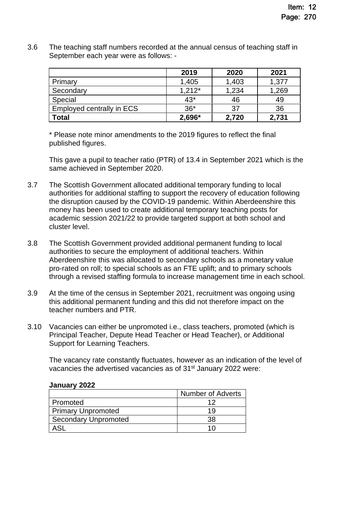3.6 The teaching staff numbers recorded at the annual census of teaching staff in September each year were as follows: -

|                           | 2019     | 2020  | 2021  |
|---------------------------|----------|-------|-------|
| Primary                   | 1,405    | 1,403 | 1,377 |
| Secondary                 | $1,212*$ | 1,234 | 1,269 |
| Special                   | $43*$    | 46    | 49    |
| Employed centrally in ECS | $36*$    | 37    | 36    |
| Total                     | 2,696*   | 2,720 | 2,731 |

\* Please note minor amendments to the 2019 figures to reflect the final published figures.

This gave a pupil to teacher ratio (PTR) of 13.4 in September 2021 which is the same achieved in September 2020.

- 3.7 The Scottish Government allocated additional temporary funding to local authorities for additional staffing to support the recovery of education following the disruption caused by the COVID-19 pandemic. Within Aberdeenshire this money has been used to create additional temporary teaching posts for academic session 2021/22 to provide targeted support at both school and cluster level.
- 3.8 The Scottish Government provided additional permanent funding to local authorities to secure the employment of additional teachers. Within Aberdeenshire this was allocated to secondary schools as a monetary value pro-rated on roll; to special schools as an FTE uplift; and to primary schools through a revised staffing formula to increase management time in each school.
- 3.9 At the time of the census in September 2021, recruitment was ongoing using this additional permanent funding and this did not therefore impact on the teacher numbers and PTR.
- 3.10 Vacancies can either be unpromoted i.e., class teachers, promoted (which is Principal Teacher, Depute Head Teacher or Head Teacher), or Additional Support for Learning Teachers.

The vacancy rate constantly fluctuates, however as an indication of the level of vacancies the advertised vacancies as of 31st January 2022 were:

| January 2022 |  |
|--------------|--|
|--------------|--|

|                             | <b>Number of Adverts</b> |
|-----------------------------|--------------------------|
| Promoted                    | イク                       |
| <b>Primary Unpromoted</b>   | 19                       |
| <b>Secondary Unpromoted</b> | 38                       |
|                             |                          |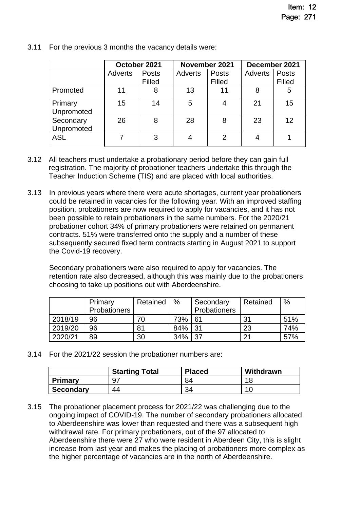|                         | October 2021 |                 | November 2021 |                        | December 2021 |                        |
|-------------------------|--------------|-----------------|---------------|------------------------|---------------|------------------------|
|                         | Adverts      | Posts<br>Filled | Adverts       | <b>Posts</b><br>Filled | Adverts       | <b>Posts</b><br>Filled |
| Promoted                | 11           | 8               | 13            | 11                     | 8             | 5                      |
| Primary<br>Unpromoted   | 15           | 14              | 5             |                        | 21            | 15                     |
| Secondary<br>Unpromoted | 26           | 8               | 28            | 8                      | 23            | 12                     |
| <b>ASL</b>              |              | 3               |               | 2                      |               |                        |

3.11 For the previous 3 months the vacancy details were:

- 3.12 All teachers must undertake a probationary period before they can gain full registration. The majority of probationer teachers undertake this through the Teacher Induction Scheme (TIS) and are placed with local authorities.
- 3.13 In previous years where there were acute shortages, current year probationers could be retained in vacancies for the following year. With an improved staffing position, probationers are now required to apply for vacancies, and it has not been possible to retain probationers in the same numbers. For the 2020/21 probationer cohort 34% of primary probationers were retained on permanent contracts. 51% were transferred onto the supply and a number of these subsequently secured fixed term contracts starting in August 2021 to support the Covid-19 recovery.

Secondary probationers were also required to apply for vacancies. The retention rate also decreased, although this was mainly due to the probationers choosing to take up positions out with Aberdeenshire.

|         | Primary<br>Probationers | Retained | %   | Secondary<br>Probationers | Retained | %   |
|---------|-------------------------|----------|-----|---------------------------|----------|-----|
|         |                         |          |     |                           |          |     |
| 2018/19 | 96                      |          | 73% | 61                        | 31       | 51% |
| 2019/20 | 96                      | 81       | 84% | 31                        | 23       | 74% |
| 2020/21 | 89                      | 30       | 34% | 27                        | 21       | 57% |

3.14 For the 2021/22 session the probationer numbers are:

|                  | <b>Starting Total</b> | <b>Placed</b> | Withdrawn  |
|------------------|-----------------------|---------------|------------|
| <b>Primary</b>   |                       | 84            | 1 C        |
| <b>Secondary</b> | 44                    | $\sim$        | . <i>.</i> |

3.15 The probationer placement process for 2021/22 was challenging due to the ongoing impact of COVID-19. The number of secondary probationers allocated to Aberdeenshire was lower than requested and there was a subsequent high withdrawal rate. For primary probationers, out of the 97 allocated to Aberdeenshire there were 27 who were resident in Aberdeen City, this is slight increase from last year and makes the placing of probationers more complex as the higher percentage of vacancies are in the north of Aberdeenshire.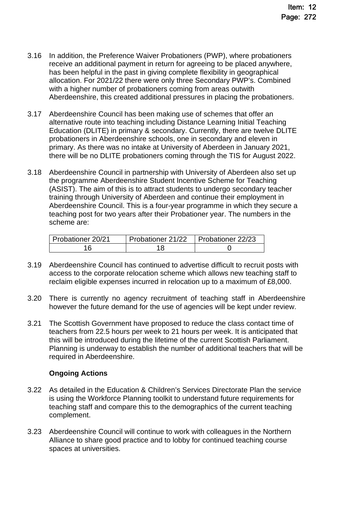- 3.16 In addition, the Preference Waiver Probationers (PWP), where probationers receive an additional payment in return for agreeing to be placed anywhere, has been helpful in the past in giving complete flexibility in geographical allocation. For 2021/22 there were only three Secondary PWP's. Combined with a higher number of probationers coming from areas outwith Aberdeenshire, this created additional pressures in placing the probationers.
- 3.17 Aberdeenshire Council has been making use of schemes that offer an alternative route into teaching including Distance Learning Initial Teaching Education (DLITE) in primary & secondary. Currently, there are twelve DLITE probationers in Aberdeenshire schools, one in secondary and eleven in primary. As there was no intake at University of Aberdeen in January 2021, there will be no DLITE probationers coming through the TIS for August 2022.
- 3.18 Aberdeenshire Council in partnership with University of Aberdeen also set up the programme Aberdeenshire Student Incentive Scheme for Teaching (ASIST). The aim of this is to attract students to undergo secondary teacher training through University of Aberdeen and continue their employment in Aberdeenshire Council. This is a four-year programme in which they secure a teaching post for two years after their Probationer year. The numbers in the scheme are:

| Probationer 20/21 | Probationer 21/22 | Probationer 22/23 |
|-------------------|-------------------|-------------------|
|                   |                   |                   |

- 3.19 Aberdeenshire Council has continued to advertise difficult to recruit posts with access to the corporate relocation scheme which allows new teaching staff to reclaim eligible expenses incurred in relocation up to a maximum of £8,000.
- 3.20 There is currently no agency recruitment of teaching staff in Aberdeenshire however the future demand for the use of agencies will be kept under review.
- 3.21 The Scottish Government have proposed to reduce the class contact time of teachers from 22.5 hours per week to 21 hours per week. It is anticipated that this will be introduced during the lifetime of the current Scottish Parliament. Planning is underway to establish the number of additional teachers that will be required in Aberdeenshire.

# **Ongoing Actions**

- 3.22 As detailed in the Education & Children's Services Directorate Plan the service is using the Workforce Planning toolkit to understand future requirements for teaching staff and compare this to the demographics of the current teaching complement.
- 3.23 Aberdeenshire Council will continue to work with colleagues in the Northern Alliance to share good practice and to lobby for continued teaching course spaces at universities.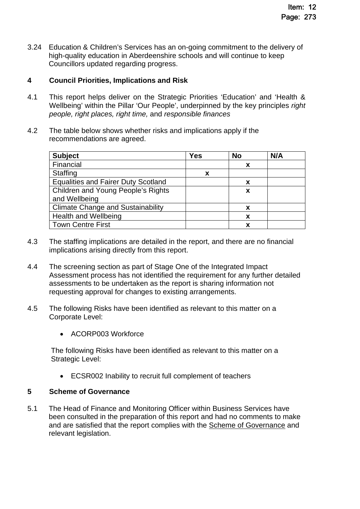3.24 Education & Children's Services has an on-going commitment to the delivery of high-quality education in Aberdeenshire schools and will continue to keep Councillors updated regarding progress.

# **4 Council Priorities, Implications and Risk**

- 4.1 This report helps deliver on the Strategic Priorities 'Education' and 'Health & Wellbeing' within the Pillar 'Our People', underpinned by the key principles *right people, right places, right time,* and *responsible finances*
- 4.2 The table below shows whether risks and implications apply if the recommendations are agreed.

| <b>Subject</b>                             | <b>Yes</b> | <b>No</b> | N/A |
|--------------------------------------------|------------|-----------|-----|
| Financial                                  |            | x         |     |
| Staffing                                   | x          |           |     |
| <b>Equalities and Fairer Duty Scotland</b> |            | х         |     |
| Children and Young People's Rights         |            | x         |     |
| and Wellbeing                              |            |           |     |
| <b>Climate Change and Sustainability</b>   |            | x         |     |
| <b>Health and Wellbeing</b>                |            | X         |     |
| <b>Town Centre First</b>                   |            | x         |     |

- 4.3 The staffing implications are detailed in the report, and there are no financial implications arising directly from this report.
- 4.4 The screening section as part of Stage One of the Integrated Impact Assessment process has not identified the requirement for any further detailed assessments to be undertaken as the report is sharing information not requesting approval for changes to existing arrangements.
- 4.5 The following Risks have been identified as relevant to this matter on a Corporate Level:
	- ACORP003 Workforce

The following Risks have been identified as relevant to this matter on a Strategic Level:

ECSR002 Inability to recruit full complement of teachers

# **5 Scheme of Governance**

5.1 The Head of Finance and Monitoring Officer within Business Services have been consulted in the preparation of this report and had no comments to make and are satisfied that the report complies with the [Scheme of Governance](https://www.aberdeenshire.gov.uk/council-and-democracy/scheme-of-governance/) and relevant legislation.